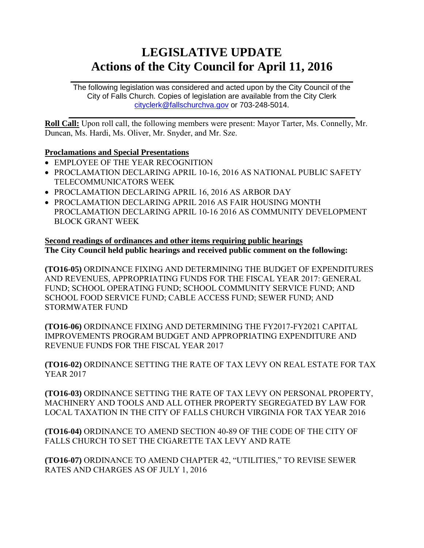# **LEGISLATIVE UPDATE Actions of the City Council for April 11, 2016**

 $\mathcal{L}_\text{max} = \mathcal{L}_\text{max} = \mathcal{L}_\text{max} = \mathcal{L}_\text{max} = \mathcal{L}_\text{max} = \mathcal{L}_\text{max} = \mathcal{L}_\text{max} = \mathcal{L}_\text{max} = \mathcal{L}_\text{max} = \mathcal{L}_\text{max} = \mathcal{L}_\text{max} = \mathcal{L}_\text{max} = \mathcal{L}_\text{max} = \mathcal{L}_\text{max} = \mathcal{L}_\text{max} = \mathcal{L}_\text{max} = \mathcal{L}_\text{max} = \mathcal{L}_\text{max} = \mathcal{$ The following legislation was considered and acted upon by the City Council of the City of Falls Church. Copies of legislation are available from the City Clerk [cityclerk@fallschurchva.gov](mailto:cityclerk@fallschurchva.gov) or 703-248-5014.

 $\mathcal{L}_\mathcal{L} = \mathcal{L}_\mathcal{L} = \mathcal{L}_\mathcal{L} = \mathcal{L}_\mathcal{L} = \mathcal{L}_\mathcal{L} = \mathcal{L}_\mathcal{L} = \mathcal{L}_\mathcal{L} = \mathcal{L}_\mathcal{L} = \mathcal{L}_\mathcal{L} = \mathcal{L}_\mathcal{L} = \mathcal{L}_\mathcal{L} = \mathcal{L}_\mathcal{L} = \mathcal{L}_\mathcal{L} = \mathcal{L}_\mathcal{L} = \mathcal{L}_\mathcal{L} = \mathcal{L}_\mathcal{L} = \mathcal{L}_\mathcal{L}$ **Roll Call:** Upon roll call, the following members were present: Mayor Tarter, Ms. Connelly, Mr. Duncan, Ms. Hardi, Ms. Oliver, Mr. Snyder, and Mr. Sze.

### **Proclamations and Special Presentations**

- EMPLOYEE OF THE YEAR RECOGNITION
- PROCLAMATION DECLARING APRIL 10-16, 2016 AS NATIONAL PUBLIC SAFETY TELECOMMUNICATORS WEEK
- PROCLAMATION DECLARING APRIL 16, 2016 AS ARBOR DAY
- PROCLAMATION DECLARING APRIL 2016 AS FAIR HOUSING MONTH PROCLAMATION DECLARING APRIL 10-16 2016 AS COMMUNITY DEVELOPMENT BLOCK GRANT WEEK

### **Second readings of ordinances and other items requiring public hearings The City Council held public hearings and received public comment on the following:**

**(TO16-05)** ORDINANCE FIXING AND DETERMINING THE BUDGET OF EXPENDITURES AND REVENUES, APPROPRIATING FUNDS FOR THE FISCAL YEAR 2017: GENERAL FUND; SCHOOL OPERATING FUND; SCHOOL COMMUNITY SERVICE FUND; AND SCHOOL FOOD SERVICE FUND; CABLE ACCESS FUND; SEWER FUND; AND STORMWATER FUND

**(TO16-06)** ORDINANCE FIXING AND DETERMINING THE FY2017-FY2021 CAPITAL IMPROVEMENTS PROGRAM BUDGET AND APPROPRIATING EXPENDITURE AND REVENUE FUNDS FOR THE FISCAL YEAR 2017

**(TO16-02)** ORDINANCE SETTING THE RATE OF TAX LEVY ON REAL ESTATE FOR TAX YEAR 2017

**(TO16-03)** ORDINANCE SETTING THE RATE OF TAX LEVY ON PERSONAL PROPERTY, MACHINERY AND TOOLS AND ALL OTHER PROPERTY SEGREGATED BY LAW FOR LOCAL TAXATION IN THE CITY OF FALLS CHURCH VIRGINIA FOR TAX YEAR 2016

**(TO16-04)** ORDINANCE TO AMEND SECTION 40-89 OF THE CODE OF THE CITY OF FALLS CHURCH TO SET THE CIGARETTE TAX LEVY AND RATE

**(TO16-07)** ORDINANCE TO AMEND CHAPTER 42, "UTILITIES," TO REVISE SEWER RATES AND CHARGES AS OF JULY 1, 2016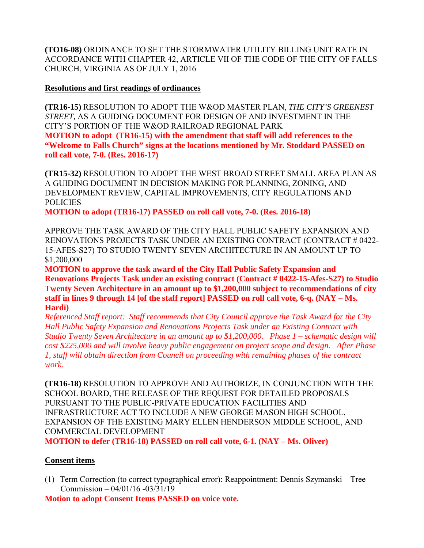**(TO16-08)** ORDINANCE TO SET THE STORMWATER UTILITY BILLING UNIT RATE IN ACCORDANCE WITH CHAPTER 42, ARTICLE VII OF THE CODE OF THE CITY OF FALLS CHURCH, VIRGINIA AS OF JULY 1, 2016

#### **Resolutions and first readings of ordinances**

**(TR16-15)** RESOLUTION TO ADOPT THE W&OD MASTER PLAN, *THE CITY'S GREENEST STREET,* AS A GUIDING DOCUMENT FOR DESIGN OF AND INVESTMENT IN THE CITY'S PORTION OF THE W&OD RAILROAD REGIONAL PARK

**MOTION to adopt (TR16-15) with the amendment that staff will add references to the "Welcome to Falls Church" signs at the locations mentioned by Mr. Stoddard PASSED on roll call vote, 7-0. (Res. 2016-17)**

**(TR15-32)** RESOLUTION TO ADOPT THE WEST BROAD STREET SMALL AREA PLAN AS A GUIDING DOCUMENT IN DECISION MAKING FOR PLANNING, ZONING, AND DEVELOPMENT REVIEW, CAPITAL IMPROVEMENTS, CITY REGULATIONS AND POLICIES

**MOTION to adopt (TR16-17) PASSED on roll call vote, 7-0. (Res. 2016-18)** 

APPROVE THE TASK AWARD OF THE CITY HALL PUBLIC SAFETY EXPANSION AND RENOVATIONS PROJECTS TASK UNDER AN EXISTING CONTRACT (CONTRACT # 0422- 15-AFES-S27) TO STUDIO TWENTY SEVEN ARCHITECTURE IN AN AMOUNT UP TO \$1,200,000

**MOTION to approve the task award of the City Hall Public Safety Expansion and Renovations Projects Task under an existing contract (Contract # 0422-15-Afes-S27) to Studio Twenty Seven Architecture in an amount up to \$1,200,000 subject to recommendations of city staff in lines 9 through 14 [of the staff report] PASSED on roll call vote, 6-q. (NAY – Ms. Hardi)**

*Referenced Staff report: Staff recommends that City Council approve the Task Award for the City Hall Public Safety Expansion and Renovations Projects Task under an Existing Contract with Studio Twenty Seven Architecture in an amount up to \$1,200,000. Phase 1 – schematic design will cost \$225,000 and will involve heavy public engagement on project scope and design. After Phase 1, staff will obtain direction from Council on proceeding with remaining phases of the contract work.*

**(TR16-18)** RESOLUTION TO APPROVE AND AUTHORIZE, IN CONJUNCTION WITH THE SCHOOL BOARD, THE RELEASE OF THE REQUEST FOR DETAILED PROPOSALS PURSUANT TO THE PUBLIC-PRIVATE EDUCATION FACILITIES AND INFRASTRUCTURE ACT TO INCLUDE A NEW GEORGE MASON HIGH SCHOOL, EXPANSION OF THE EXISTING MARY ELLEN HENDERSON MIDDLE SCHOOL, AND COMMERCIAL DEVELOPMENT

**MOTION to defer (TR16-18) PASSED on roll call vote, 6-1. (NAY – Ms. Oliver)**

## **Consent items**

(1) Term Correction (to correct typographical error): Reappointment: Dennis Szymanski – Tree Commission – 04/01/16 -03/31/19

**Motion to adopt Consent Items PASSED on voice vote.**